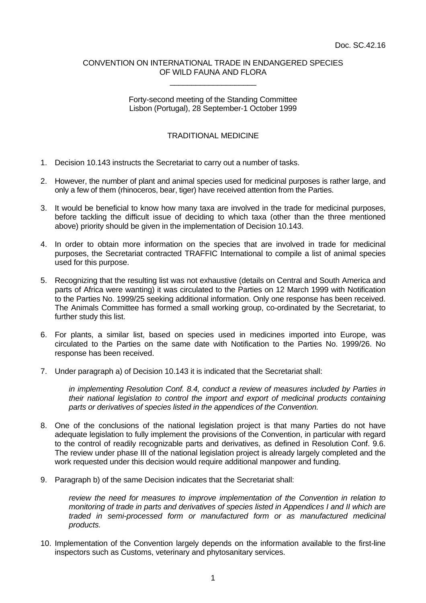## CONVENTION ON INTERNATIONAL TRADE IN ENDANGERED SPECIES OF WILD FAUNA AND FLORA \_\_\_\_\_\_\_\_\_\_\_\_\_\_\_\_\_\_\_\_

## Forty-second meeting of the Standing Committee Lisbon (Portugal), 28 September-1 October 1999

## TRADITIONAL MEDICINE

- 1. Decision 10.143 instructs the Secretariat to carry out a number of tasks.
- 2. However, the number of plant and animal species used for medicinal purposes is rather large, and only a few of them (rhinoceros, bear, tiger) have received attention from the Parties.
- 3. It would be beneficial to know how many taxa are involved in the trade for medicinal purposes, before tackling the difficult issue of deciding to which taxa (other than the three mentioned above) priority should be given in the implementation of Decision 10.143.
- 4. In order to obtain more information on the species that are involved in trade for medicinal purposes, the Secretariat contracted TRAFFIC International to compile a list of animal species used for this purpose.
- 5. Recognizing that the resulting list was not exhaustive (details on Central and South America and parts of Africa were wanting) it was circulated to the Parties on 12 March 1999 with Notification to the Parties No. 1999/25 seeking additional information. Only one response has been received. The Animals Committee has formed a small working group, co-ordinated by the Secretariat, to further study this list.
- 6. For plants, a similar list, based on species used in medicines imported into Europe, was circulated to the Parties on the same date with Notification to the Parties No. 1999/26. No response has been received.
- 7. Under paragraph a) of Decision 10.143 it is indicated that the Secretariat shall:

*in implementing Resolution Conf. 8.4, conduct a review of measures included by Parties in their national legislation to control the import and export of medicinal products containing parts or derivatives of species listed in the appendices of the Convention.*

- 8. One of the conclusions of the national legislation project is that many Parties do not have adequate legislation to fully implement the provisions of the Convention, in particular with regard to the control of readily recognizable parts and derivatives, as defined in Resolution Conf. 9.6. The review under phase III of the national legislation project is already largely completed and the work requested under this decision would require additional manpower and funding.
- 9. Paragraph b) of the same Decision indicates that the Secretariat shall:

*review the need for measures to improve implementation of the Convention in relation to monitoring of trade in parts and derivatives of species listed in Appendices I and II which are traded in semi-processed form or manufactured form or as manufactured medicinal products.*

10. Implementation of the Convention largely depends on the information available to the first-line inspectors such as Customs, veterinary and phytosanitary services.